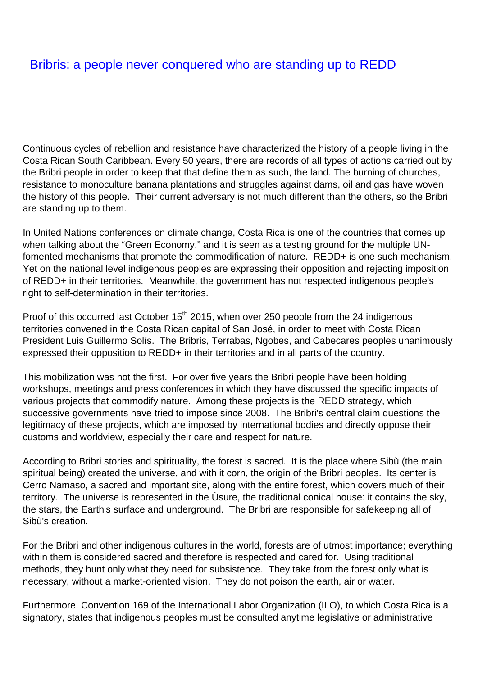## [Bribris: a people never conquered who are standing up to REDD](/bulletin-articles/bribris-a-people-never-conquered-who-are-standing-up-to-redd)

Continuous cycles of rebellion and resistance have characterized the history of a people living in the Costa Rican South Caribbean. Every 50 years, there are records of all types of actions carried out by the Bribri people in order to keep that that define them as such, the land. The burning of churches, resistance to monoculture banana plantations and struggles against dams, oil and gas have woven the history of this people. Their current adversary is not much different than the others, so the Bribri are standing up to them.

In United Nations conferences on climate change, Costa Rica is one of the countries that comes up when talking about the "Green Economy," and it is seen as a testing ground for the multiple UNfomented mechanisms that promote the commodification of nature. REDD+ is one such mechanism. Yet on the national level indigenous peoples are expressing their opposition and rejecting imposition of REDD+ in their territories. Meanwhile, the government has not respected indigenous people's right to self-determination in their territories.

Proof of this occurred last October 15<sup>th</sup> 2015, when over 250 people from the 24 indigenous territories convened in the Costa Rican capital of San José, in order to meet with Costa Rican President Luis Guillermo Solís. The Bribris, Terrabas, Ngobes, and Cabecares peoples unanimously expressed their opposition to REDD+ in their territories and in all parts of the country.

This mobilization was not the first. For over five years the Bribri people have been holding workshops, meetings and press conferences in which they have discussed the specific impacts of various projects that commodify nature. Among these projects is the REDD strategy, which successive governments have tried to impose since 2008. The Bribri's central claim questions the legitimacy of these projects, which are imposed by international bodies and directly oppose their customs and worldview, especially their care and respect for nature.

According to Bribri stories and spirituality, the forest is sacred. It is the place where Sibù (the main spiritual being) created the universe, and with it corn, the origin of the Bribri peoples. Its center is Cerro Namaso, a sacred and important site, along with the entire forest, which covers much of their territory. The universe is represented in the Ùsure, the traditional conical house: it contains the sky, the stars, the Earth's surface and underground. The Bribri are responsible for safekeeping all of Sibù's creation.

For the Bribri and other indigenous cultures in the world, forests are of utmost importance; everything within them is considered sacred and therefore is respected and cared for. Using traditional methods, they hunt only what they need for subsistence. They take from the forest only what is necessary, without a market-oriented vision. They do not poison the earth, air or water.

Furthermore, Convention 169 of the International Labor Organization (ILO), to which Costa Rica is a signatory, states that indigenous peoples must be consulted anytime legislative or administrative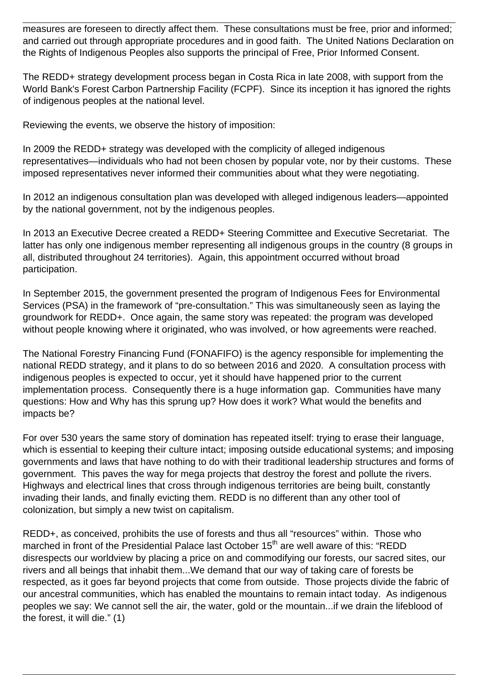measures are foreseen to directly affect them. These consultations must be free, prior and informed; and carried out through appropriate procedures and in good faith. The United Nations Declaration on the Rights of Indigenous Peoples also supports the principal of Free, Prior Informed Consent.

The REDD+ strategy development process began in Costa Rica in late 2008, with support from the World Bank's Forest Carbon Partnership Facility (FCPF). Since its inception it has ignored the rights of indigenous peoples at the national level.

Reviewing the events, we observe the history of imposition:

In 2009 the REDD+ strategy was developed with the complicity of alleged indigenous representatives—individuals who had not been chosen by popular vote, nor by their customs. These imposed representatives never informed their communities about what they were negotiating.

In 2012 an indigenous consultation plan was developed with alleged indigenous leaders—appointed by the national government, not by the indigenous peoples.

In 2013 an Executive Decree created a REDD+ Steering Committee and Executive Secretariat. The latter has only one indigenous member representing all indigenous groups in the country (8 groups in all, distributed throughout 24 territories). Again, this appointment occurred without broad participation.

In September 2015, the government presented the program of Indigenous Fees for Environmental Services (PSA) in the framework of "pre-consultation." This was simultaneously seen as laying the groundwork for REDD+. Once again, the same story was repeated: the program was developed without people knowing where it originated, who was involved, or how agreements were reached.

The National Forestry Financing Fund (FONAFIFO) is the agency responsible for implementing the national REDD strategy, and it plans to do so between 2016 and 2020. A consultation process with indigenous peoples is expected to occur, yet it should have happened prior to the current implementation process. Consequently there is a huge information gap. Communities have many questions: How and Why has this sprung up? How does it work? What would the benefits and impacts be?

For over 530 years the same story of domination has repeated itself: trying to erase their language, which is essential to keeping their culture intact; imposing outside educational systems; and imposing governments and laws that have nothing to do with their traditional leadership structures and forms of government. This paves the way for mega projects that destroy the forest and pollute the rivers. Highways and electrical lines that cross through indigenous territories are being built, constantly invading their lands, and finally evicting them. REDD is no different than any other tool of colonization, but simply a new twist on capitalism.

REDD+, as conceived, prohibits the use of forests and thus all "resources" within. Those who marched in front of the Presidential Palace last October 15<sup>th</sup> are well aware of this: "REDD disrespects our worldview by placing a price on and commodifying our forests, our sacred sites, our rivers and all beings that inhabit them...We demand that our way of taking care of forests be respected, as it goes far beyond projects that come from outside. Those projects divide the fabric of our ancestral communities, which has enabled the mountains to remain intact today. As indigenous peoples we say: We cannot sell the air, the water, gold or the mountain...if we drain the lifeblood of the forest, it will die." (1)